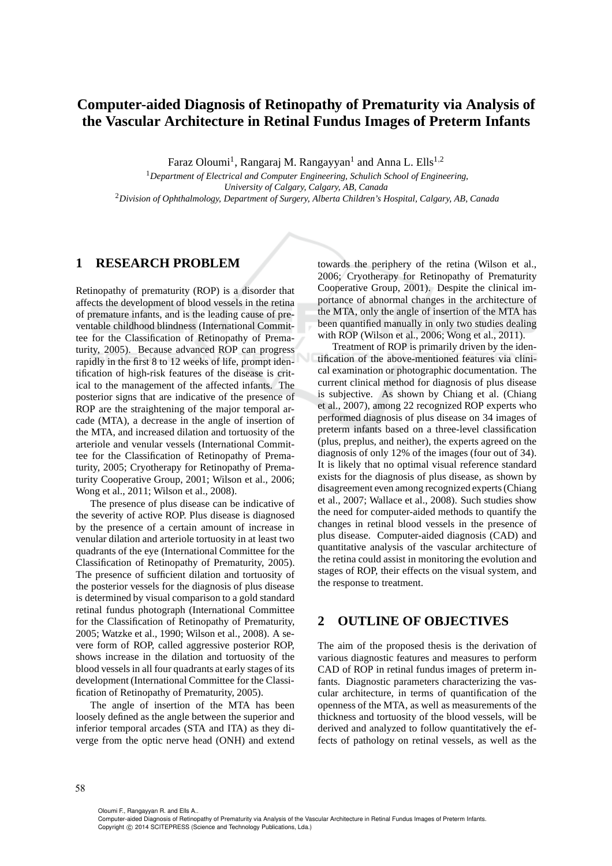## **Computer-aided Diagnosis of Retinopathy of Prematurity via Analysis of the Vascular Architecture in Retinal Fundus Images of Preterm Infants**

Faraz Oloumi<sup>1</sup>, Rangaraj M. Rangayyan<sup>1</sup> and Anna L. Ells<sup>1,2</sup>

<sup>1</sup>*Department of Electrical and Computer Engineering, Schulich School of Engineering, University of Calgary, Calgary, AB, Canada* <sup>2</sup>*Division of Ophthalmology, Department of Surgery, Alberta Children's Hospital, Calgary, AB, Canada*

## **1 RESEARCH PROBLEM**

Retinopathy of prematurity (ROP) is a disorder that affects the development of blood vessels in the retina of premature infants, and is the leading cause of preventable childhood blindness (International Committee for the Classification of Retinopathy of Prematurity, 2005). Because advanced ROP can progress rapidly in the first 8 to 12 weeks of life, prompt identification of high-risk features of the disease is critical to the management of the affected infants. The posterior signs that are indicative of the presence of ROP are the straightening of the major temporal arcade (MTA), a decrease in the angle of insertion of the MTA, and increased dilation and tortuosity of the arteriole and venular vessels (International Committee for the Classification of Retinopathy of Prematurity, 2005; Cryotherapy for Retinopathy of Prematurity Cooperative Group, 2001; Wilson et al., 2006; Wong et al., 2011; Wilson et al., 2008).

The presence of plus disease can be indicative of the severity of active ROP. Plus disease is diagnosed by the presence of a certain amount of increase in venular dilation and arteriole tortuosity in at least two quadrants of the eye (International Committee for the Classification of Retinopathy of Prematurity, 2005). The presence of sufficient dilation and tortuosity of the posterior vessels for the diagnosis of plus disease is determined by visual comparison to a gold standard retinal fundus photograph (International Committee for the Classification of Retinopathy of Prematurity, 2005; Watzke et al., 1990; Wilson et al., 2008). A severe form of ROP, called aggressive posterior ROP, shows increase in the dilation and tortuosity of the blood vessels in all four quadrants at early stages of its development (International Committee for the Classification of Retinopathy of Prematurity, 2005).

The angle of insertion of the MTA has been loosely defined as the angle between the superior and inferior temporal arcades (STA and ITA) as they diverge from the optic nerve head (ONH) and extend

towards the periphery of the retina (Wilson et al., 2006; Cryotherapy for Retinopathy of Prematurity Cooperative Group, 2001). Despite the clinical importance of abnormal changes in the architecture of the MTA, only the angle of insertion of the MTA has been quantified manually in only two studies dealing with ROP (Wilson et al., 2006; Wong et al., 2011).

Treatment of ROP is primarily driven by the identification of the above-mentioned features via clinical examination or photographic documentation. The current clinical method for diagnosis of plus disease is subjective. As shown by Chiang et al. (Chiang et al., 2007), among 22 recognized ROP experts who performed diagnosis of plus disease on 34 images of preterm infants based on a three-level classification (plus, preplus, and neither), the experts agreed on the diagnosis of only 12% of the images (four out of 34). It is likely that no optimal visual reference standard exists for the diagnosis of plus disease, as shown by disagreement even among recognized experts (Chiang et al., 2007; Wallace et al., 2008). Such studies show the need for computer-aided methods to quantify the changes in retinal blood vessels in the presence of plus disease. Computer-aided diagnosis (CAD) and quantitative analysis of the vascular architecture of the retina could assist in monitoring the evolution and stages of ROP, their effects on the visual system, and the response to treatment.

## **2 OUTLINE OF OBJECTIVES**

The aim of the proposed thesis is the derivation of various diagnostic features and measures to perform CAD of ROP in retinal fundus images of preterm infants. Diagnostic parameters characterizing the vascular architecture, in terms of quantification of the openness of the MTA, as well as measurements of the thickness and tortuosity of the blood vessels, will be derived and analyzed to follow quantitatively the effects of pathology on retinal vessels, as well as the

Oloumi F., Rangayyan R. and Ells A..

Computer-aided Diagnosis of Retinopathy of Prematurity via Analysis of the Vascular Architecture in Retinal Fundus Images of Preterm Infants. Copyright © 2014 SCITEPRESS (Science and Technology Publications, Lda.)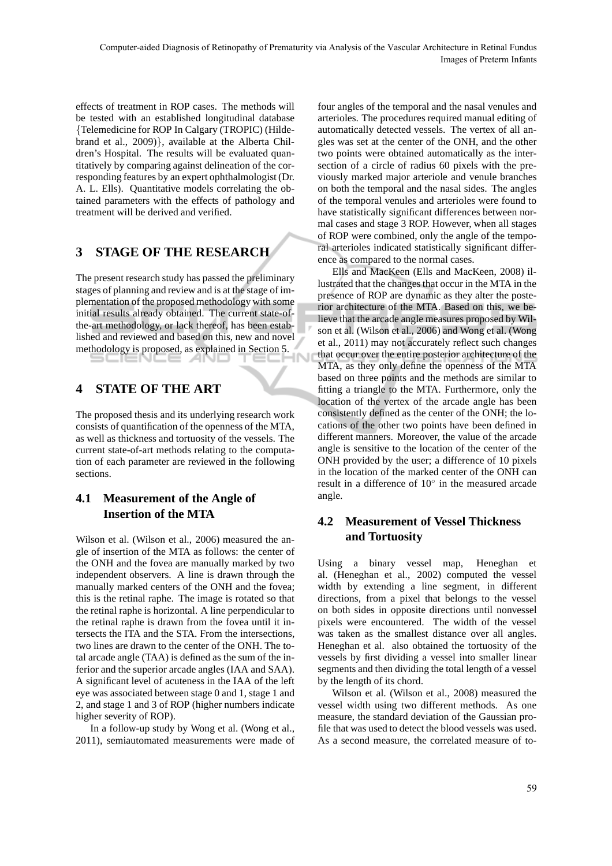effects of treatment in ROP cases. The methods will be tested with an established longitudinal database {Telemedicine for ROP In Calgary (TROPIC) (Hildebrand et al., 2009)}, available at the Alberta Children's Hospital. The results will be evaluated quantitatively by comparing against delineation of the corresponding features by an expert ophthalmologist (Dr. A. L. Ells). Quantitative models correlating the obtained parameters with the effects of pathology and treatment will be derived and verified.

# **3 STAGE OF THE RESEARCH**

The present research study has passed the preliminary stages of planning and review and is at the stage of implementation of the proposed methodology with some initial results already obtained. The current state-ofthe-art methodology, or lack thereof, has been established and reviewed and based on this, new and novel methodology is proposed, as explained in Section 5.

# **4 STATE OF THE ART**

The proposed thesis and its underlying research work consists of quantification of the openness of the MTA, as well as thickness and tortuosity of the vessels. The current state-of-art methods relating to the computation of each parameter are reviewed in the following sections.

## **4.1 Measurement of the Angle of Insertion of the MTA**

Wilson et al. (Wilson et al., 2006) measured the angle of insertion of the MTA as follows: the center of the ONH and the fovea are manually marked by two independent observers. A line is drawn through the manually marked centers of the ONH and the fovea; this is the retinal raphe. The image is rotated so that the retinal raphe is horizontal. A line perpendicular to the retinal raphe is drawn from the fovea until it intersects the ITA and the STA. From the intersections, two lines are drawn to the center of the ONH. The total arcade angle (TAA) is defined as the sum of the inferior and the superior arcade angles (IAA and SAA). A significant level of acuteness in the IAA of the left eye was associated between stage 0 and 1, stage 1 and 2, and stage 1 and 3 of ROP (higher numbers indicate higher severity of ROP).

In a follow-up study by Wong et al. (Wong et al., 2011), semiautomated measurements were made of

four angles of the temporal and the nasal venules and arterioles. The procedures required manual editing of automatically detected vessels. The vertex of all angles was set at the center of the ONH, and the other two points were obtained automatically as the intersection of a circle of radius 60 pixels with the previously marked major arteriole and venule branches on both the temporal and the nasal sides. The angles of the temporal venules and arterioles were found to have statistically significant differences between normal cases and stage 3 ROP. However, when all stages of ROP were combined, only the angle of the temporal arterioles indicated statistically significant difference as compared to the normal cases.

Ells and MacKeen (Ells and MacKeen, 2008) illustrated that the changes that occur in the MTA in the presence of ROP are dynamic as they alter the posterior architecture of the MTA. Based on this, we believe that the arcade angle measures proposed by Wilson et al. (Wilson et al., 2006) and Wong et al. (Wong et al., 2011) may not accurately reflect such changes that occur over the entire posterior architecture of the MTA, as they only define the openness of the MTA based on three points and the methods are similar to fitting a triangle to the MTA. Furthermore, only the location of the vertex of the arcade angle has been consistently defined as the center of the ONH; the locations of the other two points have been defined in different manners. Moreover, the value of the arcade angle is sensitive to the location of the center of the ONH provided by the user; a difference of 10 pixels in the location of the marked center of the ONH can result in a difference of 10◦ in the measured arcade angle.

## **4.2 Measurement of Vessel Thickness and Tortuosity**

Using a binary vessel map, Heneghan et al. (Heneghan et al., 2002) computed the vessel width by extending a line segment, in different directions, from a pixel that belongs to the vessel on both sides in opposite directions until nonvessel pixels were encountered. The width of the vessel was taken as the smallest distance over all angles. Heneghan et al. also obtained the tortuosity of the vessels by first dividing a vessel into smaller linear segments and then dividing the total length of a vessel by the length of its chord.

Wilson et al. (Wilson et al., 2008) measured the vessel width using two different methods. As one measure, the standard deviation of the Gaussian profile that was used to detect the blood vessels was used. As a second measure, the correlated measure of to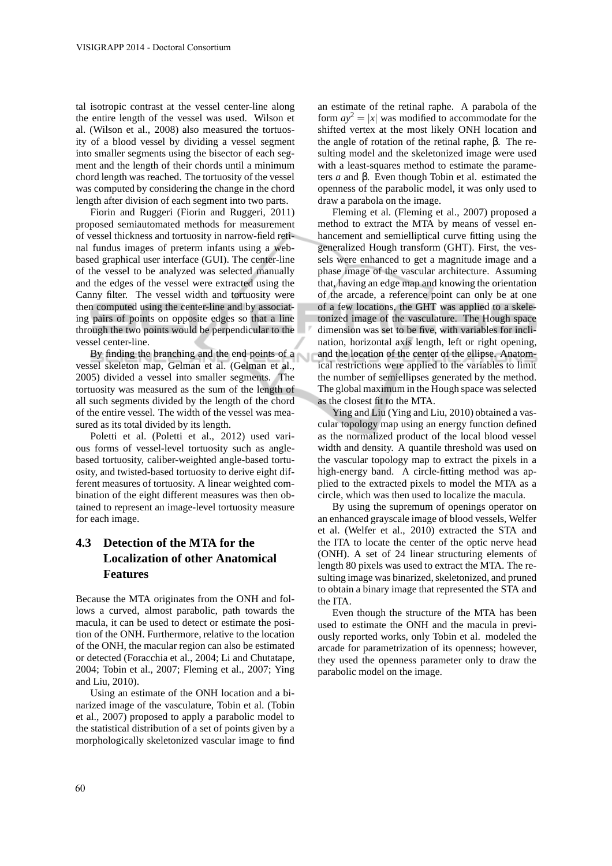tal isotropic contrast at the vessel center-line along the entire length of the vessel was used. Wilson et al. (Wilson et al., 2008) also measured the tortuosity of a blood vessel by dividing a vessel segment into smaller segments using the bisector of each segment and the length of their chords until a minimum chord length was reached. The tortuosity of the vessel was computed by considering the change in the chord length after division of each segment into two parts.

Fiorin and Ruggeri (Fiorin and Ruggeri, 2011) proposed semiautomated methods for measurement of vessel thickness and tortuosity in narrow-field retinal fundus images of preterm infants using a webbased graphical user interface (GUI). The center-line of the vessel to be analyzed was selected manually and the edges of the vessel were extracted using the Canny filter. The vessel width and tortuosity were then computed using the center-line and by associating pairs of points on opposite edges so that a line through the two points would be perpendicular to the vessel center-line.

By finding the branching and the end points of a vessel skeleton map, Gelman et al. (Gelman et al., 2005) divided a vessel into smaller segments. The tortuosity was measured as the sum of the length of all such segments divided by the length of the chord of the entire vessel. The width of the vessel was measured as its total divided by its length.

Poletti et al. (Poletti et al., 2012) used various forms of vessel-level tortuosity such as anglebased tortuosity, caliber-weighted angle-based tortuosity, and twisted-based tortuosity to derive eight different measures of tortuosity. A linear weighted combination of the eight different measures was then obtained to represent an image-level tortuosity measure for each image.

## **4.3 Detection of the MTA for the Localization of other Anatomical Features**

Because the MTA originates from the ONH and follows a curved, almost parabolic, path towards the macula, it can be used to detect or estimate the position of the ONH. Furthermore, relative to the location of the ONH, the macular region can also be estimated or detected (Foracchia et al., 2004; Li and Chutatape, 2004; Tobin et al., 2007; Fleming et al., 2007; Ying and Liu, 2010).

Using an estimate of the ONH location and a binarized image of the vasculature, Tobin et al. (Tobin et al., 2007) proposed to apply a parabolic model to the statistical distribution of a set of points given by a morphologically skeletonized vascular image to find

an estimate of the retinal raphe. A parabola of the form  $ay^2 = |x|$  was modified to accommodate for the shifted vertex at the most likely ONH location and the angle of rotation of the retinal raphe, β. The resulting model and the skeletonized image were used with a least-squares method to estimate the parameters *a* and β. Even though Tobin et al. estimated the openness of the parabolic model, it was only used to draw a parabola on the image.

Fleming et al. (Fleming et al., 2007) proposed a method to extract the MTA by means of vessel enhancement and semielliptical curve fitting using the generalized Hough transform (GHT). First, the vessels were enhanced to get a magnitude image and a phase image of the vascular architecture. Assuming that, having an edge map and knowing the orientation of the arcade, a reference point can only be at one of a few locations, the GHT was applied to a skeletonized image of the vasculature. The Hough space dimension was set to be five, with variables for inclination, horizontal axis length, left or right opening, and the location of the center of the ellipse. Anatomical restrictions were applied to the variables to limit the number of semiellipses generated by the method. The global maximum in the Hough space was selected as the closest fit to the MTA.

Ying and Liu (Ying and Liu, 2010) obtained a vascular topology map using an energy function defined as the normalized product of the local blood vessel width and density. A quantile threshold was used on the vascular topology map to extract the pixels in a high-energy band. A circle-fitting method was applied to the extracted pixels to model the MTA as a circle, which was then used to localize the macula.

By using the supremum of openings operator on an enhanced grayscale image of blood vessels, Welfer et al. (Welfer et al., 2010) extracted the STA and the ITA to locate the center of the optic nerve head (ONH). A set of 24 linear structuring elements of length 80 pixels was used to extract the MTA. The resulting image was binarized, skeletonized, and pruned to obtain a binary image that represented the STA and the ITA.

Even though the structure of the MTA has been used to estimate the ONH and the macula in previously reported works, only Tobin et al. modeled the arcade for parametrization of its openness; however, they used the openness parameter only to draw the parabolic model on the image.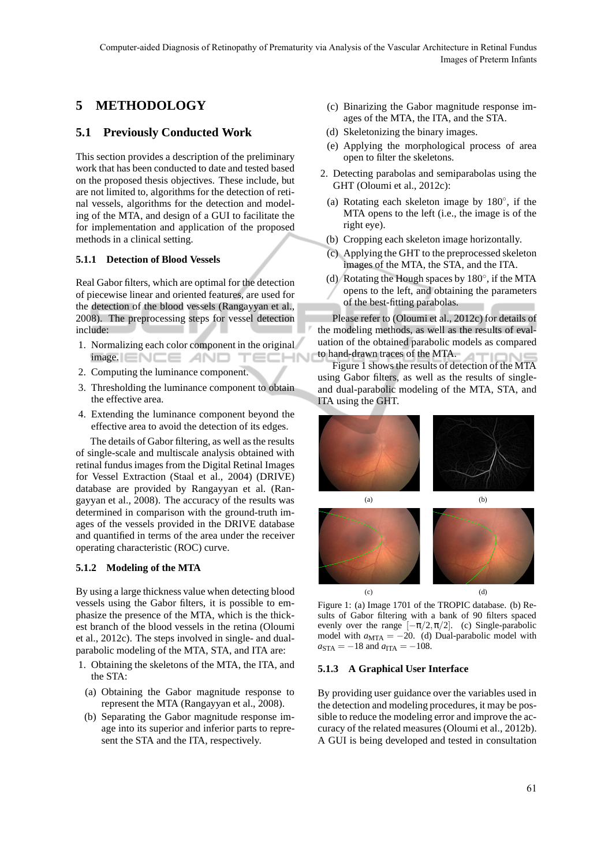## **5 METHODOLOGY**

## **5.1 Previously Conducted Work**

This section provides a description of the preliminary work that has been conducted to date and tested based on the proposed thesis objectives. These include, but are not limited to, algorithms for the detection of retinal vessels, algorithms for the detection and modeling of the MTA, and design of a GUI to facilitate the for implementation and application of the proposed methods in a clinical setting.

### **5.1.1 Detection of Blood Vessels**

Real Gabor filters, which are optimal for the detection of piecewise linear and oriented features, are used for the detection of the blood vessels (Rangayyan et al., 2008). The preprocessing steps for vessel detection include:

- 1. Normalizing each color component in the original  $image.$   $\Box$   $\Box$   $\Box$   $\Box$   $\Box$   $\Box$   $\Box$ TECHN
- 2. Computing the luminance component.
- 3. Thresholding the luminance component to obtain the effective area.
- 4. Extending the luminance component beyond the effective area to avoid the detection of its edges.

The details of Gabor filtering, as well as the results of single-scale and multiscale analysis obtained with retinal fundus images from the Digital Retinal Images for Vessel Extraction (Staal et al., 2004) (DRIVE) database are provided by Rangayyan et al. (Rangayyan et al., 2008). The accuracy of the results was determined in comparison with the ground-truth images of the vessels provided in the DRIVE database and quantified in terms of the area under the receiver operating characteristic (ROC) curve.

### **5.1.2 Modeling of the MTA**

By using a large thickness value when detecting blood vessels using the Gabor filters, it is possible to emphasize the presence of the MTA, which is the thickest branch of the blood vessels in the retina (Oloumi et al., 2012c). The steps involved in single- and dualparabolic modeling of the MTA, STA, and ITA are:

- 1. Obtaining the skeletons of the MTA, the ITA, and the STA:
- (a) Obtaining the Gabor magnitude response to represent the MTA (Rangayyan et al., 2008).
- (b) Separating the Gabor magnitude response image into its superior and inferior parts to represent the STA and the ITA, respectively.
- (c) Binarizing the Gabor magnitude response images of the MTA, the ITA, and the STA.
- (d) Skeletonizing the binary images.
- (e) Applying the morphological process of area open to filter the skeletons.
- 2. Detecting parabolas and semiparabolas using the GHT (Oloumi et al., 2012c):
	- (a) Rotating each skeleton image by  $180^\circ$ , if the MTA opens to the left (i.e., the image is of the right eye).
	- (b) Cropping each skeleton image horizontally.
	- (c) Applying the GHT to the preprocessed skeleton images of the MTA, the STA, and the ITA.
	- (d) Rotating the Hough spaces by 180◦ , if the MTA
	- opens to the left, and obtaining the parameters of the best-fitting parabolas.

Please refer to (Oloumi et al., 2012c) for details of the modeling methods, as well as the results of evaluation of the obtained parabolic models as compared to hand-drawn traces of the MTA.

Figure 1 shows the results of detection of the MTA using Gabor filters, as well as the results of singleand dual-parabolic modeling of the MTA, STA, and ITA using the GHT.



Figure 1: (a) Image 1701 of the TROPIC database. (b) Results of Gabor filtering with a bank of 90 filters spaced evenly over the range  $[-\pi/2, \pi/2]$ . (c) Single-parabolic model with  $a_{\text{MTA}} = -20$ . (d) Dual-parabolic model with  $a_{\text{STA}} = -18$  and  $a_{\text{ITA}} = -108$ .

### **5.1.3 A Graphical User Interface**

By providing user guidance over the variables used in the detection and modeling procedures, it may be possible to reduce the modeling error and improve the accuracy of the related measures (Oloumi et al., 2012b). A GUI is being developed and tested in consultation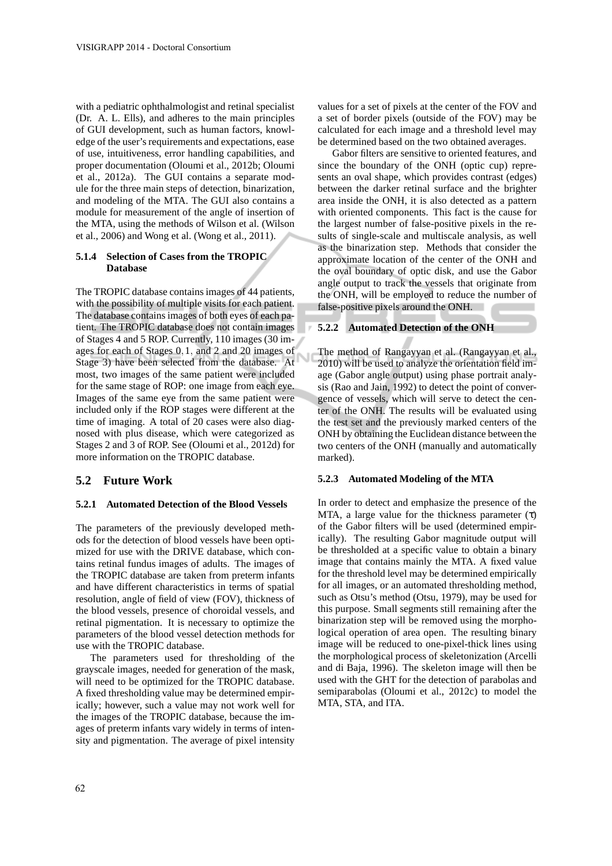with a pediatric ophthalmologist and retinal specialist (Dr. A. L. Ells), and adheres to the main principles of GUI development, such as human factors, knowledge of the user's requirements and expectations, ease of use, intuitiveness, error handling capabilities, and proper documentation (Oloumi et al., 2012b; Oloumi et al., 2012a). The GUI contains a separate module for the three main steps of detection, binarization, and modeling of the MTA. The GUI also contains a module for measurement of the angle of insertion of the MTA, using the methods of Wilson et al. (Wilson et al., 2006) and Wong et al. (Wong et al., 2011).

### **5.1.4 Selection of Cases from the TROPIC Database**

The TROPIC database contains images of 44 patients, with the possibility of multiple visits for each patient. The database contains images of both eyes of each patient. The TROPIC database does not contain images of Stages 4 and 5 ROP. Currently, 110 images (30 images for each of Stages 0,1, and 2 and 20 images of Stage 3) have been selected from the database. At most, two images of the same patient were included for the same stage of ROP: one image from each eye. Images of the same eye from the same patient were included only if the ROP stages were different at the time of imaging. A total of 20 cases were also diagnosed with plus disease, which were categorized as Stages 2 and 3 of ROP. See (Oloumi et al., 2012d) for more information on the TROPIC database.

## **5.2 Future Work**

### **5.2.1 Automated Detection of the Blood Vessels**

The parameters of the previously developed methods for the detection of blood vessels have been optimized for use with the DRIVE database, which contains retinal fundus images of adults. The images of the TROPIC database are taken from preterm infants and have different characteristics in terms of spatial resolution, angle of field of view (FOV), thickness of the blood vessels, presence of choroidal vessels, and retinal pigmentation. It is necessary to optimize the parameters of the blood vessel detection methods for use with the TROPIC database.

The parameters used for thresholding of the grayscale images, needed for generation of the mask, will need to be optimized for the TROPIC database. A fixed thresholding value may be determined empirically; however, such a value may not work well for the images of the TROPIC database, because the images of preterm infants vary widely in terms of intensity and pigmentation. The average of pixel intensity values for a set of pixels at the center of the FOV and a set of border pixels (outside of the FOV) may be calculated for each image and a threshold level may be determined based on the two obtained averages.

Gabor filters are sensitive to oriented features, and since the boundary of the ONH (optic cup) represents an oval shape, which provides contrast (edges) between the darker retinal surface and the brighter area inside the ONH, it is also detected as a pattern with oriented components. This fact is the cause for the largest number of false-positive pixels in the results of single-scale and multiscale analysis, as well as the binarization step. Methods that consider the approximate location of the center of the ONH and the oval boundary of optic disk, and use the Gabor angle output to track the vessels that originate from the ONH, will be employed to reduce the number of false-positive pixels around the ONH.

### **5.2.2 Automated Detection of the ONH**

The method of Rangayyan et al. (Rangayyan et al., 2010) will be used to analyze the orientation field image (Gabor angle output) using phase portrait analysis (Rao and Jain, 1992) to detect the point of convergence of vessels, which will serve to detect the center of the ONH. The results will be evaluated using the test set and the previously marked centers of the ONH by obtaining the Euclidean distance between the two centers of the ONH (manually and automatically marked).

### **5.2.3 Automated Modeling of the MTA**

In order to detect and emphasize the presence of the MTA, a large value for the thickness parameter  $(τ)$ of the Gabor filters will be used (determined empirically). The resulting Gabor magnitude output will be thresholded at a specific value to obtain a binary image that contains mainly the MTA. A fixed value for the threshold level may be determined empirically for all images, or an automated thresholding method, such as Otsu's method (Otsu, 1979), may be used for this purpose. Small segments still remaining after the binarization step will be removed using the morphological operation of area open. The resulting binary image will be reduced to one-pixel-thick lines using the morphological process of skeletonization (Arcelli and di Baja, 1996). The skeleton image will then be used with the GHT for the detection of parabolas and semiparabolas (Oloumi et al., 2012c) to model the MTA, STA, and ITA.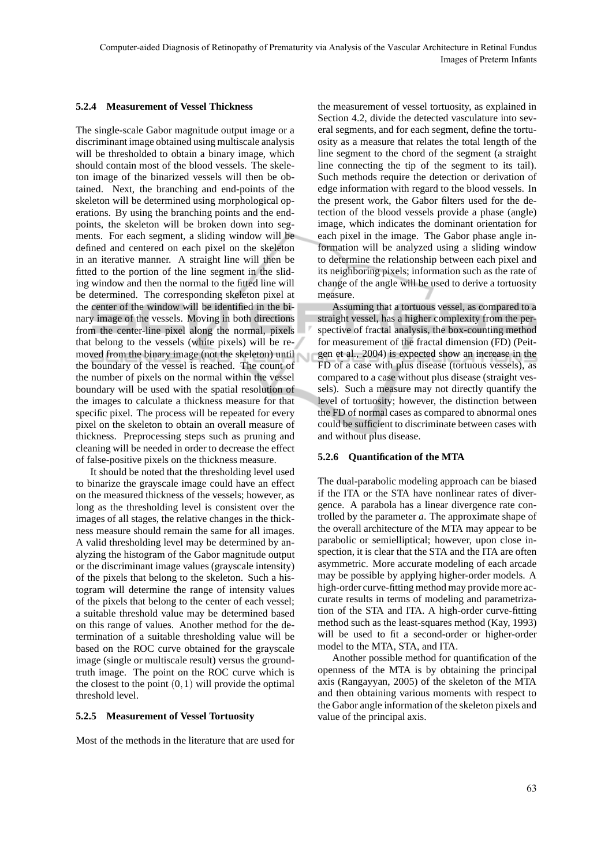### **5.2.4 Measurement of Vessel Thickness**

The single-scale Gabor magnitude output image or a discriminant image obtained using multiscale analysis will be thresholded to obtain a binary image, which should contain most of the blood vessels. The skeleton image of the binarized vessels will then be obtained. Next, the branching and end-points of the skeleton will be determined using morphological operations. By using the branching points and the endpoints, the skeleton will be broken down into segments. For each segment, a sliding window will be defined and centered on each pixel on the skeleton in an iterative manner. A straight line will then be fitted to the portion of the line segment in the sliding window and then the normal to the fitted line will be determined. The corresponding skeleton pixel at the center of the window will be identified in the binary image of the vessels. Moving in both directions from the center-line pixel along the normal, pixels that belong to the vessels (white pixels) will be removed from the binary image (not the skeleton) until the boundary of the vessel is reached. The count of the number of pixels on the normal within the vessel boundary will be used with the spatial resolution of the images to calculate a thickness measure for that specific pixel. The process will be repeated for every pixel on the skeleton to obtain an overall measure of thickness. Preprocessing steps such as pruning and cleaning will be needed in order to decrease the effect of false-positive pixels on the thickness measure.

It should be noted that the thresholding level used to binarize the grayscale image could have an effect on the measured thickness of the vessels; however, as long as the thresholding level is consistent over the images of all stages, the relative changes in the thickness measure should remain the same for all images. A valid thresholding level may be determined by analyzing the histogram of the Gabor magnitude output or the discriminant image values (grayscale intensity) of the pixels that belong to the skeleton. Such a histogram will determine the range of intensity values of the pixels that belong to the center of each vessel; a suitable threshold value may be determined based on this range of values. Another method for the determination of a suitable thresholding value will be based on the ROC curve obtained for the grayscale image (single or multiscale result) versus the groundtruth image. The point on the ROC curve which is the closest to the point  $(0,1)$  will provide the optimal threshold level.

### **5.2.5 Measurement of Vessel Tortuosity**

Most of the methods in the literature that are used for

the measurement of vessel tortuosity, as explained in Section 4.2, divide the detected vasculature into several segments, and for each segment, define the tortuosity as a measure that relates the total length of the line segment to the chord of the segment (a straight line connecting the tip of the segment to its tail). Such methods require the detection or derivation of edge information with regard to the blood vessels. In the present work, the Gabor filters used for the detection of the blood vessels provide a phase (angle) image, which indicates the dominant orientation for each pixel in the image. The Gabor phase angle information will be analyzed using a sliding window to determine the relationship between each pixel and its neighboring pixels; information such as the rate of change of the angle will be used to derive a tortuosity measure.

Assuming that a tortuous vessel, as compared to a straight vessel, has a higher complexity from the perspective of fractal analysis, the box-counting method for measurement of the fractal dimension (FD) (Peitgen et al., 2004) is expected show an increase in the FD of a case with plus disease (tortuous vessels), as compared to a case without plus disease (straight vessels). Such a measure may not directly quantify the level of tortuosity; however, the distinction between the FD of normal cases as compared to abnormal ones could be sufficient to discriminate between cases with and without plus disease.

### **5.2.6 Quantification of the MTA**

The dual-parabolic modeling approach can be biased if the ITA or the STA have nonlinear rates of divergence. A parabola has a linear divergence rate controlled by the parameter *a*. The approximate shape of the overall architecture of the MTA may appear to be parabolic or semielliptical; however, upon close inspection, it is clear that the STA and the ITA are often asymmetric. More accurate modeling of each arcade may be possible by applying higher-order models. A high-order curve-fitting method may provide more accurate results in terms of modeling and parametrization of the STA and ITA. A high-order curve-fitting method such as the least-squares method (Kay, 1993) will be used to fit a second-order or higher-order model to the MTA, STA, and ITA.

Another possible method for quantification of the openness of the MTA is by obtaining the principal axis (Rangayyan, 2005) of the skeleton of the MTA and then obtaining various moments with respect to the Gabor angle information of the skeleton pixels and value of the principal axis.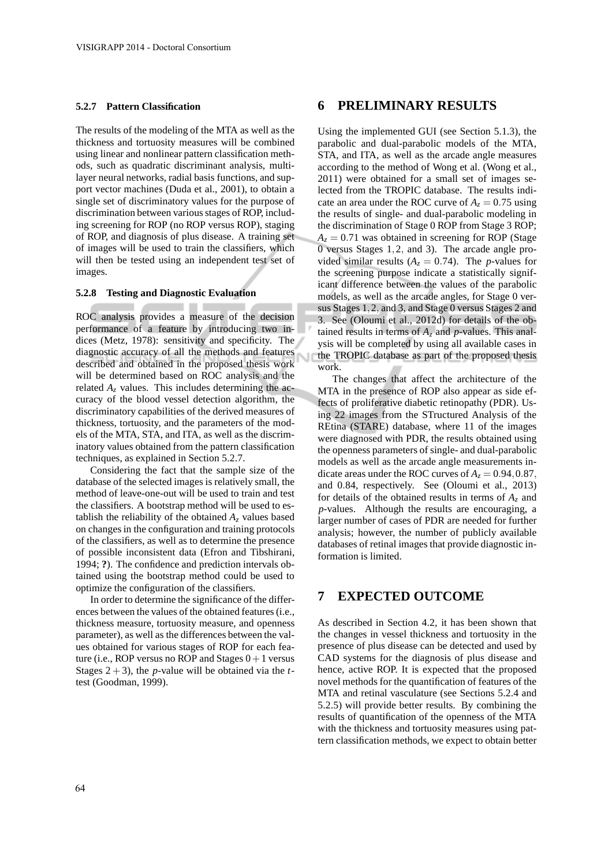#### **5.2.7 Pattern Classification**

The results of the modeling of the MTA as well as the thickness and tortuosity measures will be combined using linear and nonlinear pattern classification methods, such as quadratic discriminant analysis, multilayer neural networks, radial basis functions, and support vector machines (Duda et al., 2001), to obtain a single set of discriminatory values for the purpose of discrimination between various stages of ROP, including screening for ROP (no ROP versus ROP), staging of ROP, and diagnosis of plus disease. A training set of images will be used to train the classifiers, which will then be tested using an independent test set of images.

#### **5.2.8 Testing and Diagnostic Evaluation**

ROC analysis provides a measure of the decision performance of a feature by introducing two indices (Metz, 1978): sensitivity and specificity. The diagnostic accuracy of all the methods and features described and obtained in the proposed thesis work will be determined based on ROC analysis and the related  $A_z$  values. This includes determining the accuracy of the blood vessel detection algorithm, the discriminatory capabilities of the derived measures of thickness, tortuosity, and the parameters of the models of the MTA, STA, and ITA, as well as the discriminatory values obtained from the pattern classification techniques, as explained in Section 5.2.7.

Considering the fact that the sample size of the database of the selected images is relatively small, the method of leave-one-out will be used to train and test the classifiers. A bootstrap method will be used to establish the reliability of the obtained  $A<sub>z</sub>$  values based on changes in the configuration and training protocols of the classifiers, as well as to determine the presence of possible inconsistent data (Efron and Tibshirani, 1994; **?**). The confidence and prediction intervals obtained using the bootstrap method could be used to optimize the configuration of the classifiers.

In order to determine the significance of the differences between the values of the obtained features (i.e., thickness measure, tortuosity measure, and openness parameter), as well as the differences between the values obtained for various stages of ROP for each feature (i.e., ROP versus no ROP and Stages  $0+1$  versus Stages  $2 + 3$ ), the *p*-value will be obtained via the *t*test (Goodman, 1999).

## **6 PRELIMINARY RESULTS**

Using the implemented GUI (see Section 5.1.3), the parabolic and dual-parabolic models of the MTA, STA, and ITA, as well as the arcade angle measures according to the method of Wong et al. (Wong et al., 2011) were obtained for a small set of images selected from the TROPIC database. The results indicate an area under the ROC curve of  $A_z = 0.75$  using the results of single- and dual-parabolic modeling in the discrimination of Stage 0 ROP from Stage 3 ROP;  $A_z = 0.71$  was obtained in screening for ROP (Stage 0 versus Stages 1,2, and 3). The arcade angle provided similar results  $(A_z = 0.74)$ . The *p*-values for the screening purpose indicate a statistically significant difference between the values of the parabolic models, as well as the arcade angles, for Stage 0 versus Stages 1,2, and 3, and Stage 0 versus Stages 2 and 3. See (Oloumi et al., 2012d) for details of the obtained results in terms of *A<sup>z</sup>* and *p*-values. This analysis will be completed by using all available cases in the TROPIC database as part of the proposed thesis work.

The changes that affect the architecture of the MTA in the presence of ROP also appear as side effects of proliferative diabetic retinopathy (PDR). Using 22 images from the STructured Analysis of the REtina (STARE) database, where 11 of the images were diagnosed with PDR, the results obtained using the openness parameters of single- and dual-parabolic models as well as the arcade angle measurements indicate areas under the ROC curves of  $A_z = 0.94, 0.87$ , and 0.84, respectively. See (Oloumi et al., 2013) for details of the obtained results in terms of *A<sup>z</sup>* and *p*-values. Although the results are encouraging, a larger number of cases of PDR are needed for further analysis; however, the number of publicly available databases of retinal images that provide diagnostic information is limited.

## **7 EXPECTED OUTCOME**

As described in Section 4.2, it has been shown that the changes in vessel thickness and tortuosity in the presence of plus disease can be detected and used by CAD systems for the diagnosis of plus disease and hence, active ROP. It is expected that the proposed novel methods for the quantification of features of the MTA and retinal vasculature (see Sections 5.2.4 and 5.2.5) will provide better results. By combining the results of quantification of the openness of the MTA with the thickness and tortuosity measures using pattern classification methods, we expect to obtain better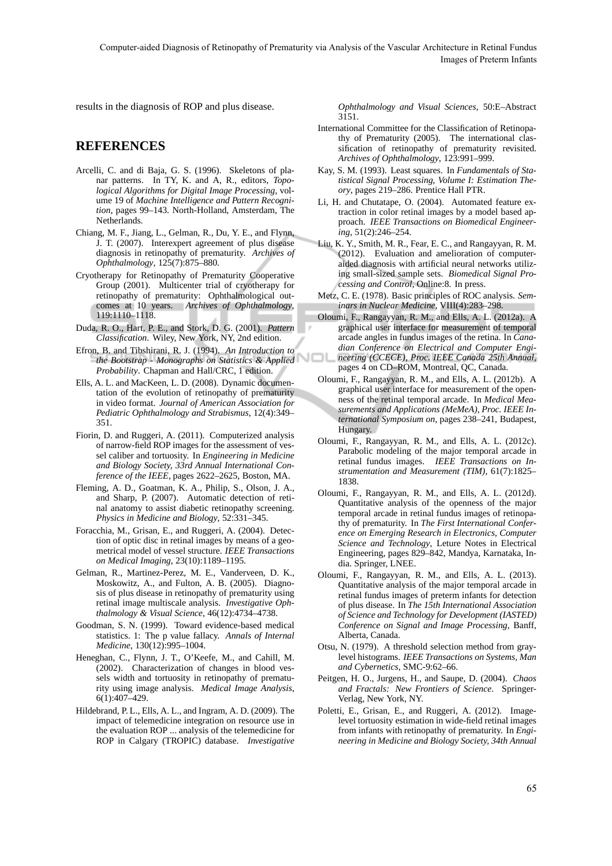Computer-aided Diagnosis of Retinopathy of Prematurity via Analysis of the Vascular Architecture in Retinal Fundus Images of Preterm Infants

Чſ

results in the diagnosis of ROP and plus disease.

### **REFERENCES**

- Arcelli, C. and di Baja, G. S. (1996). Skeletons of planar patterns. In TY, K. and A, R., editors, *Topological Algorithms for Digital Image Processing*, volume 19 of *Machine Intelligence and Pattern Recognition*, pages 99–143. North-Holland, Amsterdam, The Netherlands.
- Chiang, M. F., Jiang, L., Gelman, R., Du, Y. E., and Flynn, J. T. (2007). Interexpert agreement of plus disease diagnosis in retinopathy of prematurity. *Archives of Ophthalmology*, 125(7):875–880.
- Cryotherapy for Retinopathy of Prematurity Cooperative Group (2001). Multicenter trial of cryotherapy for retinopathy of prematurity: Ophthalmological outcomes at 10 years. *Archives of Ophthalmology*, 119:1110–1118.
- Duda, R. O., Hart, P. E., and Stork, D. G. (2001). *Pattern Classification*. Wiley, New York, NY, 2nd edition.
- Efron, B. and Tibshirani, R. J. (1994). *An Introduction to the Bootstrap - Monographs on Statistics & Applied Probability*. Chapman and Hall/CRC, 1 edition.
- Ells, A. L. and MacKeen, L. D. (2008). Dynamic documentation of the evolution of retinopathy of prematurity in video format. *Journal of American Association for Pediatric Ophthalmology and Strabismus*, 12(4):349– 351.
- Fiorin, D. and Ruggeri, A. (2011). Computerized analysis of narrow-field ROP images for the assessment of vessel caliber and tortuosity. In *Engineering in Medicine and Biology Society, 33rd Annual International Conference of the IEEE*, pages 2622–2625, Boston, MA.
- Fleming, A. D., Goatman, K. A., Philip, S., Olson, J. A., and Sharp, P. (2007). Automatic detection of retinal anatomy to assist diabetic retinopathy screening. *Physics in Medicine and Biology*, 52:331–345.
- Foracchia, M., Grisan, E., and Ruggeri, A. (2004). Detection of optic disc in retinal images by means of a geometrical model of vessel structure. *IEEE Transactions on Medical Imaging*, 23(10):1189–1195.
- Gelman, R., Martinez-Perez, M. E., Vanderveen, D. K., Moskowitz, A., and Fulton, A. B. (2005). Diagnosis of plus disease in retinopathy of prematurity using retinal image multiscale analysis. *Investigative Ophthalmology & Visual Science*, 46(12):4734–4738.
- Goodman, S. N. (1999). Toward evidence-based medical statistics. 1: The p value fallacy. *Annals of Internal Medicine*, 130(12):995–1004.
- Heneghan, C., Flynn, J. T., O'Keefe, M., and Cahill, M. (2002). Characterization of changes in blood vessels width and tortuosity in retinopathy of prematurity using image analysis. *Medical Image Analysis*, 6(1):407–429.
- Hildebrand, P. L., Ells, A. L., and Ingram, A. D. (2009). The impact of telemedicine integration on resource use in the evaluation ROP ... analysis of the telemedicine for ROP in Calgary (TROPIC) database. *Investigative*

*Ophthalmology and Visual Sciences*, 50:E–Abstract 3151.

- International Committee for the Classification of Retinopathy of Prematurity (2005). The international classification of retinopathy of prematurity revisited. *Archives of Ophthalmology*, 123:991–999.
- Kay, S. M. (1993). Least squares. In *Fundamentals of Statistical Signal Processing, Volume I: Estimation Theory*, pages 219–286. Prentice Hall PTR.
- Li, H. and Chutatape, O. (2004). Automated feature extraction in color retinal images by a model based approach. *IEEE Transactions on Biomedical Engineering*, 51(2):246–254.
- Liu, K. Y., Smith, M. R., Fear, E. C., and Rangayyan, R. M. (2012). Evaluation and amelioration of computeraided diagnosis with artificial neural networks utilizing small-sized sample sets. *Biomedical Signal Processing and Control*, Online:8. In press.
- Metz, C. E. (1978). Basic principles of ROC analysis. *Seminars in Nuclear Medicine*, VIII(4):283–298.
- Oloumi, F., Rangayyan, R. M., and Ells, A. L. (2012a). A graphical user interface for measurement of temporal arcade angles in fundus images of the retina. In *Canadian Conference on Electrical and Computer Engineering (CCECE), Proc. IEEE Canada 25th Annual*, pages 4 on CD–ROM, Montreal, QC, Canada.
- Oloumi, F., Rangayyan, R. M., and Ells, A. L. (2012b). A graphical user interface for measurement of the openness of the retinal temporal arcade. In *Medical Measurements and Applications (MeMeA), Proc. IEEE International Symposium on*, pages 238–241, Budapest, Hungary.
- Oloumi, F., Rangayyan, R. M., and Ells, A. L. (2012c). Parabolic modeling of the major temporal arcade in retinal fundus images. *IEEE Transactions on Instrumentation and Measurement (TIM)*, 61(7):1825– 1838.
- Oloumi, F., Rangayyan, R. M., and Ells, A. L. (2012d). Quantitative analysis of the openness of the major temporal arcade in retinal fundus images of retinopathy of prematurity. In *The First International Conference on Emerging Research in Electronics, Computer Science and Technology*, Leture Notes in Electrical Engineering, pages 829–842, Mandya, Karnataka, India. Springer, LNEE.
- Oloumi, F., Rangayyan, R. M., and Ells, A. L. (2013). Quantitative analysis of the major temporal arcade in retinal fundus images of preterm infants for detection of plus disease. In *The 15th International Association of Science and Technology for Development (IASTED) Conference on Signal and Image Processing*, Banff, Alberta, Canada.
- Otsu, N. (1979). A threshold selection method from graylevel histograms. *IEEE Transactions on Systems, Man and Cybernetics*, SMC-9:62–66.
- Peitgen, H. O., Jurgens, H., and Saupe, D. (2004). *Chaos and Fractals: New Frontiers of Science*. Springer-Verlag, New York, NY.
- Poletti, E., Grisan, E., and Ruggeri, A. (2012). Imagelevel tortuosity estimation in wide-field retinal images from infants with retinopathy of prematurity. In *Engineering in Medicine and Biology Society, 34th Annual*